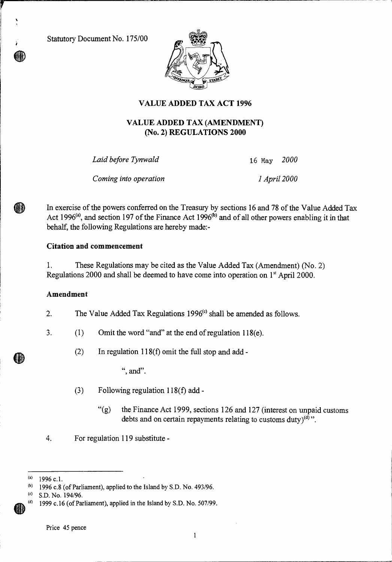Statutory Document No. 175/00



# **VALUE ADDED TAX ACT 1996**

## **VALUE ADDED TAX (AMENDMENT) (No. 2) REGULATIONS 2000**

*Laid before Tynwald* 16 May *2000* 

*Coming into operation 1 April 2000* 

In exercise of the powers conferred on the Treasury by sections 16 and 78 of the Value Added Tax Act 1996<sup>(a)</sup>, and section 197 of the Finance Act 1996<sup>(b)</sup> and of all other powers enabling it in that behalf, the following Regulations are hereby made:-

### **Citation and commencement**

1. These Regulations may be cited as the Value Added Tax (Amendment) (No. 2) Regulations 2000 and shall be deemed to have come into operation on 1<sup>st</sup> April 2000.

#### **Amendment**

2. The Value Added Tax Regulations  $1996<sup>(c)</sup>$  shall be amended as follows.

- 3. (1) Omit the word "and" at the end of regulation 118(e).
	- (2) In regulation 118(f) omit the full stop and add -

", and".

- (3) Following regulation 118(f) add
	- "(g) the Finance Act 1999, sections 126 and 127 (interest on unpaid customs debts and on certain repayments relating to customs duty) $\binom{d}{k}$ .
- 4. For regulation 119 substitute -

 $\mathbf{1}$ 

<sup>(</sup>a) 1996 c.l.<br>(b) 1996 c. 8

<sup>1996</sup> c.8 (of Parliament), applied to the Island by S.D. No. 493/96.

<sup>(</sup>c) S.D. No. 194/96.

<sup>1999</sup> c.16 (of Parliament), applied in the Island by S.D. No. 507/99.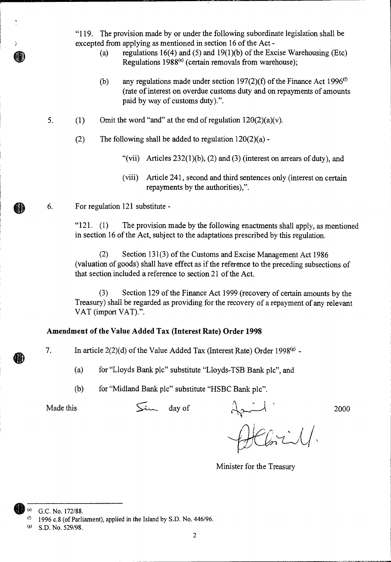"119. The provision made by or under the following subordinate legislation shall be excepted from applying as mentioned in section 16 of the Act -

- (a) regulations 16(4) and (5) and 19(1)(b) of the Excise Warehousing (Etc) Regulations  $1988<sup>(e)</sup>$  (certain removals from warehouse);
- (b) any regulations made under section 197(2)(f) of the Finance Act 1996<sup>(f)</sup> (rate of interest on overdue customs duty and on repayments of amounts paid by way of customs duty).".
- 5. (1) Omit the word "and" at the end of regulation  $120(2)(a)(v)$ .
	- (2) The following shall be added to regulation  $120(2)(a)$ .
		- "(vii) Articles  $232(1)(b)$ , (2) and (3) (interest on arrears of duty), and
		- (viii) Article 241, second and third sentences only (interest on certain repayments by the authorities),".
- 6. For regulation 121 substitute -

" $121.$  (1) The provision made by the following enactments shall apply, as mentioned in section 16 of the Act, subject to the adaptations prescribed by this regulation.

(2) Section 131(3) of the Customs and Excise Management Act 1986 (valuation of goods) shall have effect as if the reference to the preceding subsections of that section included a reference to section 21 of the Act.

(3) Section 129 of the Finance Act 1999 (recovery of certain amounts by the Treasury) shall be regarded as providing for the recovery of a repayment of any relevant VAT (import VAT).".

### **Amendment of the Value Added Tax (Interest Rate) Order 1998**

7. In article  $2(2)(d)$  of the Value Added Tax (Interest Rate) Order 1998<sup>(g)</sup> -

(a) for "Lloyds Bank plc" substitute "Lloyds-TSB Bank plc", and

(b) for "Midland Bank plc" substitute "HSBC Bank plc".

Made this S day of 2000

 $H$ Chrill.

Minister for the Treasury

G.C. No. 172/88.

 $(6)$  1996 c.8 (of Parliament), applied in the Island by S.D. No. 446/96.

<sup>(</sup>g) S.D. No. 529/98.